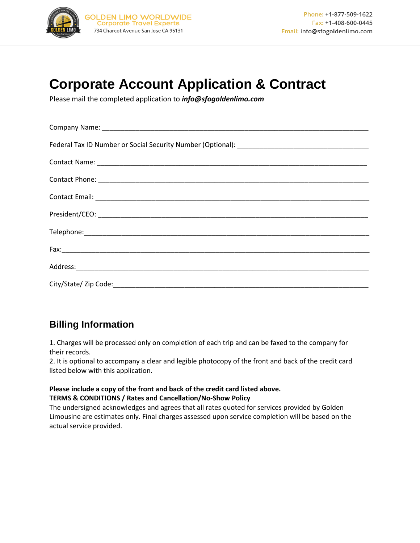

# **Corporate Account Application & Contract**

Please mail the completed application to *info@sfogoldenlimo.com* 

## **Billing Information**

1. Charges will be processed only on completion of each trip and can be faxed to the company for their records.

2. It is optional to accompany a clear and legible photocopy of the front and back of the credit card listed below with this application.

#### **Please include a copy of the front and back of the credit card listed above. TERMS & CONDITIONS / Rates and Cancellation/No-Show Policy**

The undersigned acknowledges and agrees that all rates quoted for services provided by Golden Limousine are estimates only. Final charges assessed upon service completion will be based on the actual service provided.